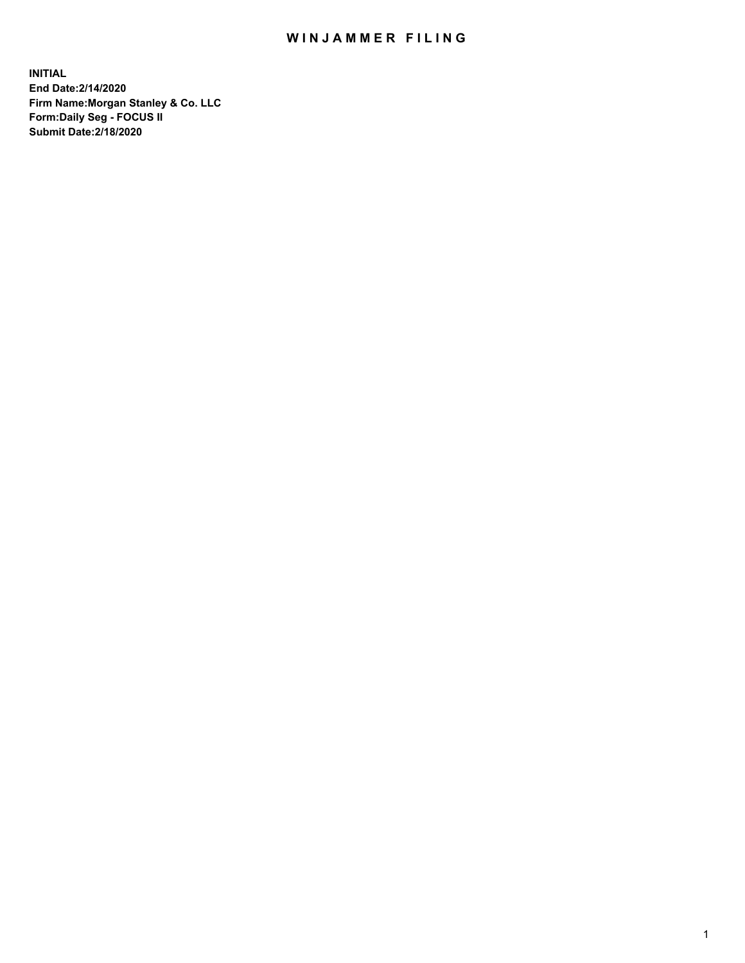## WIN JAMMER FILING

**INITIAL End Date:2/14/2020 Firm Name:Morgan Stanley & Co. LLC Form:Daily Seg - FOCUS II Submit Date:2/18/2020**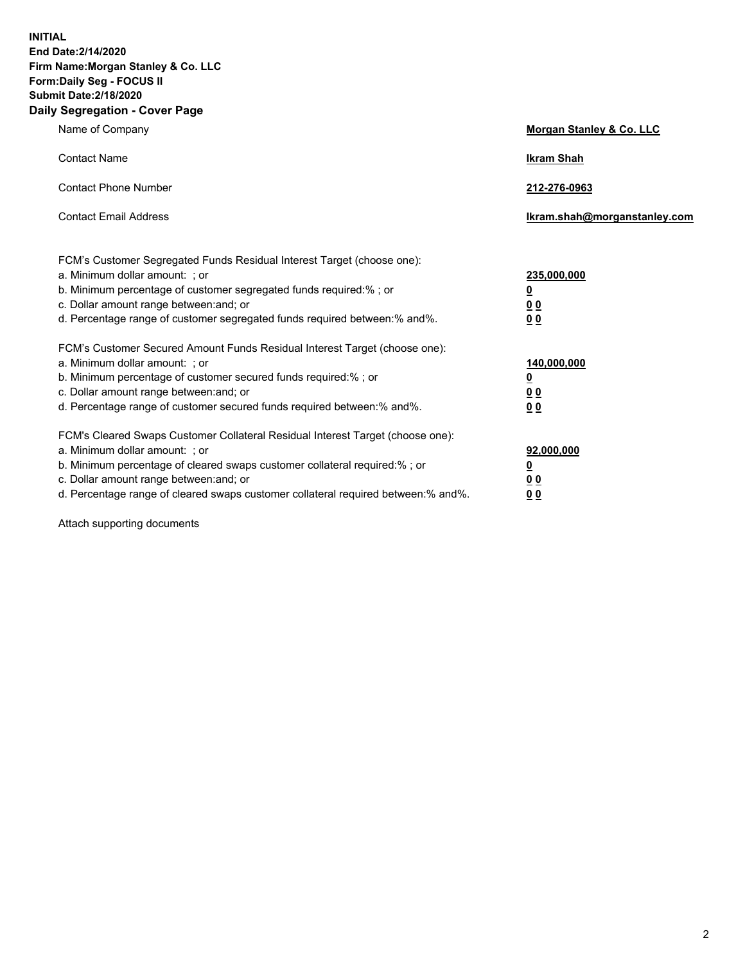**INITIAL End Date:2/14/2020 Firm Name:Morgan Stanley & Co. LLC Form:Daily Seg - FOCUS II Submit Date:2/18/2020 Daily Segregation - Cover Page**

| Name of Company                                                                                                                                                                                                                                                                                                                | Morgan Stanley & Co. LLC                                    |  |
|--------------------------------------------------------------------------------------------------------------------------------------------------------------------------------------------------------------------------------------------------------------------------------------------------------------------------------|-------------------------------------------------------------|--|
| <b>Contact Name</b>                                                                                                                                                                                                                                                                                                            | <b>Ikram Shah</b>                                           |  |
| <b>Contact Phone Number</b>                                                                                                                                                                                                                                                                                                    | 212-276-0963                                                |  |
| <b>Contact Email Address</b>                                                                                                                                                                                                                                                                                                   | lkram.shah@morganstanley.com                                |  |
| FCM's Customer Segregated Funds Residual Interest Target (choose one):<br>a. Minimum dollar amount: ; or<br>b. Minimum percentage of customer segregated funds required:% ; or<br>c. Dollar amount range between: and; or<br>d. Percentage range of customer segregated funds required between:% and%.                         | 235,000,000<br><u>0</u><br>00<br>0 <sub>0</sub>             |  |
| FCM's Customer Secured Amount Funds Residual Interest Target (choose one):<br>a. Minimum dollar amount: ; or<br>b. Minimum percentage of customer secured funds required:%; or<br>c. Dollar amount range between: and; or<br>d. Percentage range of customer secured funds required between: % and %.                          | 140,000,000<br><u>0</u><br>0 <sub>0</sub><br>0 <sub>0</sub> |  |
| FCM's Cleared Swaps Customer Collateral Residual Interest Target (choose one):<br>a. Minimum dollar amount: ; or<br>b. Minimum percentage of cleared swaps customer collateral required:% ; or<br>c. Dollar amount range between: and; or<br>d. Percentage range of cleared swaps customer collateral required between:% and%. | 92,000,000<br><u>0</u><br><u>00</u><br>00                   |  |

Attach supporting documents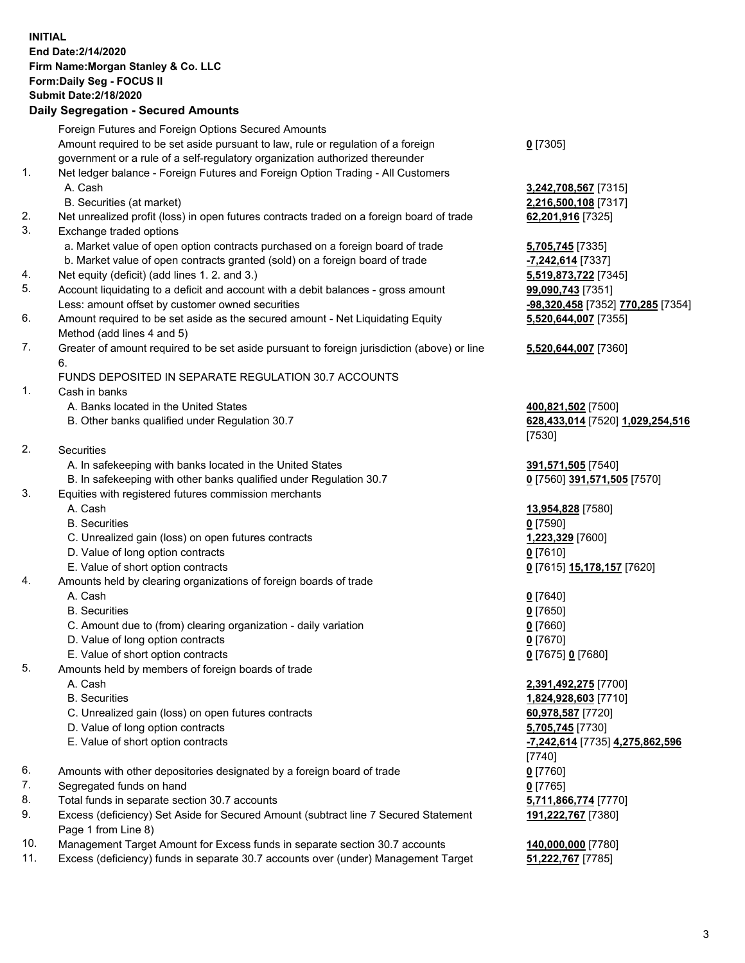## **INITIAL End Date:2/14/2020 Firm Name:Morgan Stanley & Co. LLC Form:Daily Seg - FOCUS II Submit Date:2/18/2020**

## **Daily Segregation - Secured Amounts**

|    | Foreign Futures and Foreign Options Secured Amounts                                                        |                              |
|----|------------------------------------------------------------------------------------------------------------|------------------------------|
|    | Amount required to be set aside pursuant to law, rule or regulation of a foreign                           | $0$ [7305]                   |
| 1. | government or a rule of a self-regulatory organization authorized thereunder                               |                              |
|    | Net ledger balance - Foreign Futures and Foreign Option Trading - All Customers<br>A. Cash                 | 3,242,708,567 [73            |
|    | B. Securities (at market)                                                                                  | 2,216,500,108 [73            |
| 2. | Net unrealized profit (loss) in open futures contracts traded on a foreign board of trade                  | 62,201,916 [7325]            |
| 3. | Exchange traded options                                                                                    |                              |
|    | a. Market value of open option contracts purchased on a foreign board of trade                             | 5,705,745 [7335]             |
|    | b. Market value of open contracts granted (sold) on a foreign board of trade                               | -7,242,614 [7337]            |
| 4. | Net equity (deficit) (add lines 1.2. and 3.)                                                               | 5,519,873,722 [73            |
| 5. | Account liquidating to a deficit and account with a debit balances - gross amount                          | 99,090,743 [7351]            |
|    | Less: amount offset by customer owned securities                                                           | -98,320,458 [7352            |
| 6. | Amount required to be set aside as the secured amount - Net Liquidating Equity                             | 5,520,644,007 [73            |
|    | Method (add lines 4 and 5)                                                                                 |                              |
| 7. | Greater of amount required to be set aside pursuant to foreign jurisdiction (above) or line                | 5,520,644,007 [73            |
|    | 6.                                                                                                         |                              |
|    | FUNDS DEPOSITED IN SEPARATE REGULATION 30.7 ACCOUNTS                                                       |                              |
| 1. | Cash in banks                                                                                              |                              |
|    | A. Banks located in the United States                                                                      | 400,821,502 [7500            |
|    | B. Other banks qualified under Regulation 30.7                                                             | 628,433,014 [7520            |
|    |                                                                                                            | [7530]                       |
| 2. | Securities                                                                                                 |                              |
|    | A. In safekeeping with banks located in the United States                                                  | 391,571,505 [7540            |
| 3. | B. In safekeeping with other banks qualified under Regulation 30.7                                         | 0 [7560] 391,571,            |
|    | Equities with registered futures commission merchants<br>A. Cash                                           | 13,954,828 [7580]            |
|    | <b>B.</b> Securities                                                                                       | $0$ [7590]                   |
|    | C. Unrealized gain (loss) on open futures contracts                                                        | 1,223,329 [7600]             |
|    | D. Value of long option contracts                                                                          | $0$ [7610]                   |
|    | E. Value of short option contracts                                                                         | 0 <sup>[7615]</sup> 15,178,1 |
| 4. | Amounts held by clearing organizations of foreign boards of trade                                          |                              |
|    | A. Cash                                                                                                    | $0$ [7640]                   |
|    | <b>B.</b> Securities                                                                                       | $0$ [7650]                   |
|    | C. Amount due to (from) clearing organization - daily variation                                            | $0$ [7660]                   |
|    | D. Value of long option contracts                                                                          | $0$ [7670]                   |
|    | E. Value of short option contracts                                                                         | 0 [7675] 0 [7680]            |
| 5. | Amounts held by members of foreign boards of trade                                                         |                              |
|    | A. Cash                                                                                                    | 2,391,492,275 [77            |
|    | <b>B.</b> Securities                                                                                       | 1,824,928,603 [77            |
|    | C. Unrealized gain (loss) on open futures contracts                                                        | 60,978,587 [7720]            |
|    | D. Value of long option contracts                                                                          | 5,705,745 [7730]             |
|    | E. Value of short option contracts                                                                         | -7,242,614 [7735]            |
|    |                                                                                                            | [7740]                       |
| 6. | Amounts with other depositories designated by a foreign board of trade                                     | $0$ [7760]                   |
| 7. | Segregated funds on hand                                                                                   | $0$ [7765]                   |
| 8. | Total funds in separate section 30.7 accounts                                                              | 5,711,866,774 [77            |
| 9. | Excess (deficiency) Set Aside for Secured Amount (subtract line 7 Secured Statement<br>Page 1 from Line 8) | 191,222,767 [7380            |

- 10. Management Target Amount for Excess funds in separate section 30.7 accounts **140,000,000** [7780]
- 11. Excess (deficiency) funds in separate 30.7 accounts over (under) Management Target **51,222,767** [7785]

 A. Cash **3,242,708,567** [7315]  $500, 108$  [7317]

**0. 614** [7337]  $, 873, 722$  [7345] **0. 743** [7351] 20,458 [7352] **770,285** [7354] **5,520,644,007** [7355]

## **5,520,644,007** [7360]

**21,502** [7500] B. Other banks qualified under Regulation 30.7 **628,433,014** [7520] **1,029,254,516** [7530]

A. 1. 505 [7540]  $[30]$  391,571,505 [7570]

 A. Cash **13,954,828** [7580] E. 15,178,157 [7620]

 A. Cash **2,391,492,275** [7700] **928,603** [7710] **8,587** [7720] E. Value of short option contracts **-7,242,614** [7735] **4,275,862,596** [7740] **866,774** [7770] **191,222,767** [7380]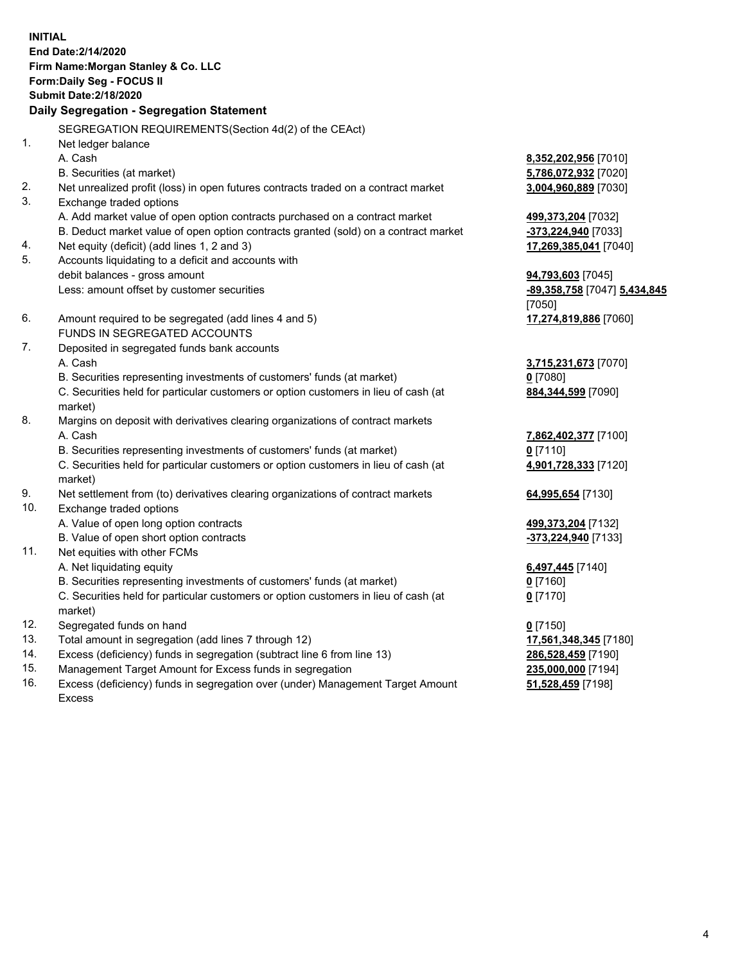**INITIAL End Date:2/14/2020 Firm Name:Morgan Stanley & Co. LLC Form:Daily Seg - FOCUS II Submit Date:2/18/2020 Daily Segregation - Segregation Statement** SEGREGATION REQUIREMENTS(Section 4d(2) of the CEAct) 1. Net ledger balance A. Cash **8,352,202,956** [7010] B. Securities (at market) **5,786,072,932** [7020] 2. Net unrealized profit (loss) in open futures contracts traded on a contract market **3,004,960,889** [7030] 3. Exchange traded options A. Add market value of open option contracts purchased on a contract market **499,373,204** [7032] B. Deduct market value of open option contracts granted (sold) on a contract market **-373,224,940** [7033] 4. Net equity (deficit) (add lines 1, 2 and 3) **17,269,385,041** [7040] 5. Accounts liquidating to a deficit and accounts with debit balances - gross amount **94,793,603** [7045] Less: amount offset by customer securities **-89,358,758** [7047] **5,434,845** [7050] 6. Amount required to be segregated (add lines 4 and 5) **17,274,819,886** [7060] FUNDS IN SEGREGATED ACCOUNTS 7. Deposited in segregated funds bank accounts A. Cash **3,715,231,673** [7070] B. Securities representing investments of customers' funds (at market) **0** [7080] C. Securities held for particular customers or option customers in lieu of cash (at market) **884,344,599** [7090] 8. Margins on deposit with derivatives clearing organizations of contract markets A. Cash **7,862,402,377** [7100] B. Securities representing investments of customers' funds (at market) **0** [7110] C. Securities held for particular customers or option customers in lieu of cash (at market) **4,901,728,333** [7120] 9. Net settlement from (to) derivatives clearing organizations of contract markets **64,995,654** [7130] 10. Exchange traded options A. Value of open long option contracts **499,373,204** [7132] B. Value of open short option contracts **and the set of open short option contracts -373,224,940** [7133] 11. Net equities with other FCMs A. Net liquidating equity **6,497,445** [7140] B. Securities representing investments of customers' funds (at market) **0** [7160] C. Securities held for particular customers or option customers in lieu of cash (at market) **0** [7170] 12. Segregated funds on hand **0** [7150] 13. Total amount in segregation (add lines 7 through 12) **17,561,348,345** [7180] 14. Excess (deficiency) funds in segregation (subtract line 6 from line 13) **286,528,459** [7190] 15. Management Target Amount for Excess funds in segregation **235,000,000** [7194]

16. Excess (deficiency) funds in segregation over (under) Management Target Amount Excess

**51,528,459** [7198]